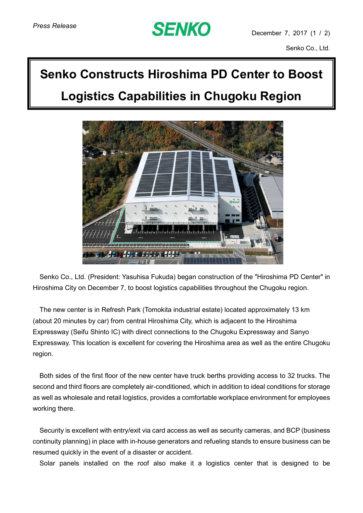## **SENKO**

Senko Co., Ltd.

## **Senko Constructs Hiroshima PD Center to Boost Logistics Capabilities in Chugoku Region**



Senko Co., Ltd. (President: Yasuhisa Fukuda) began construction of the "Hiroshima PD Center" in Hiroshima City on December 7, to boost logistics capabilities throughout the Chugoku region.

The new center is in Refresh Park (Tomokita industrial estate) located approximately 13 km (about 20 minutes by car) from central Hiroshima City, which is adjacent to the Hiroshima Expressway (Seifu Shinto IC) with direct connections to the Chugoku Expressway and Sanyo Expressway. This location is excellent for covering the Hiroshima area as well as the entire Chugoku region.

Both sides of the first floor of the new center have truck berths providing access to 32 trucks. The second and third floors are completely air-conditioned, which in addition to ideal conditions for storage as well as wholesale and retail logistics, provides a comfortable workplace environment for employees working there.

Security is excellent with entry/exit via card access as well as security cameras, and BCP (business continuity planning) in place with in-house generators and refueling stands to ensure business can be resumed quickly in the event of a disaster or accident.

Solar panels installed on the roof also make it a logistics center that is designed to be